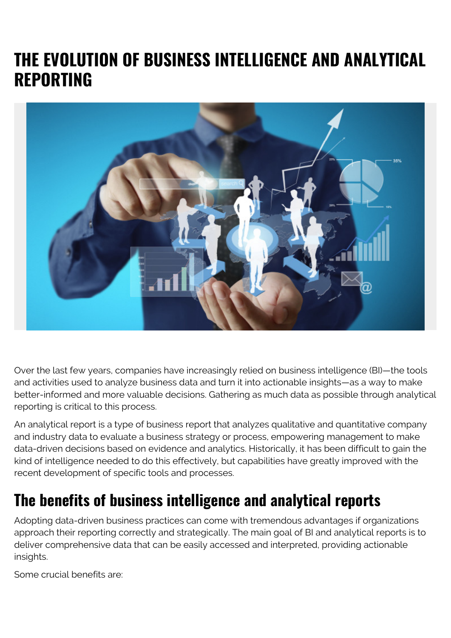# **THE EVOLUTION OF BUSINESS INTELLIGENCE AND ANALYTICAL REPORTING**



Over the last few years, companies have increasingly relied on business intelligence (BI)—the tools and activities used to analyze business data and turn it into actionable insights—as a way to make better-informed and more valuable decisions. Gathering as much data as possible through analytical reporting is critical to this process.

An analytical report is a type of business report that analyzes qualitative and quantitative company and industry data to evaluate a business strategy or process, empowering management to make data-driven decisions based on evidence and analytics. Historically, it has been difficult to gain the kind of intelligence needed to do this effectively, but capabilities have greatly improved with the recent development of specific tools and processes.

#### **The benefits of business intelligence and analytical reports**

Adopting data-driven business practices can come with tremendous advantages if organizations approach their reporting correctly and strategically. The main goal of BI and analytical reports is to deliver comprehensive data that can be easily accessed and interpreted, providing actionable insights.

Some crucial benefits are: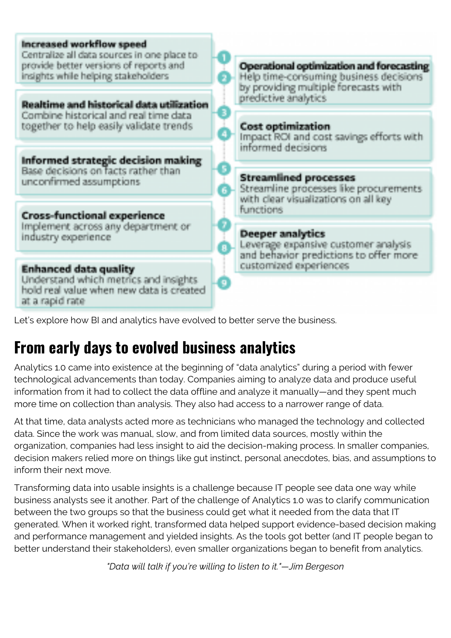

### **From early days to evolved business analytics**

Analytics 1.0 came into existence at the beginning of "data analytics" during a period with fewer technological advancements than today. Companies aiming to analyze data and produce useful information from it had to collect the data offline and analyze it manually—and they spent much more time on collection than analysis. They also had access to a narrower range of data.

At that time, data analysts acted more as technicians who managed the technology and collected data. Since the work was manual, slow, and from limited data sources, mostly within the organization, companies had less insight to aid the decision-making process. In smaller companies, decision makers relied more on things like gut instinct, personal anecdotes, bias, and assumptions to inform their next move.

Transforming data into usable insights is a challenge because IT people see data one way while business analysts see it another. Part of the challenge of Analytics 1.0 was to clarify communication between the two groups so that the business could get what it needed from the data that IT generated. When it worked right, transformed data helped support evidence-based decision making and performance management and yielded insights. As the tools got better (and IT people began to better understand their stakeholders), even smaller organizations began to benefit from analytics.

*"Data will talk if you're willing to listen to it."—Jim Bergeson*